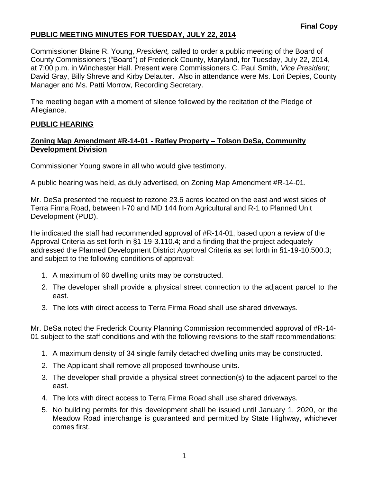#### **PUBLIC MEETING MINUTES FOR TUESDAY, JULY 22, 2014**

Commissioner Blaine R. Young, *President,* called to order a public meeting of the Board of County Commissioners ("Board") of Frederick County, Maryland, for Tuesday, July 22, 2014, at 7:00 p.m. in Winchester Hall. Present were Commissioners C. Paul Smith, *Vice President;* David Gray, Billy Shreve and Kirby Delauter. Also in attendance were Ms. Lori Depies, County Manager and Ms. Patti Morrow, Recording Secretary.

The meeting began with a moment of silence followed by the recitation of the Pledge of Allegiance.

#### **PUBLIC HEARING**

#### **Zoning Map Amendment #R-14-01 - Ratley Property – Tolson DeSa, Community Development Division**

Commissioner Young swore in all who would give testimony.

A public hearing was held, as duly advertised, on Zoning Map Amendment #R-14-01.

Mr. DeSa presented the request to rezone 23.6 acres located on the east and west sides of Terra Firma Road, between I-70 and MD 144 from Agricultural and R-1 to Planned Unit Development (PUD).

He indicated the staff had recommended approval of #R-14-01, based upon a review of the Approval Criteria as set forth in §1-19-3.110.4; and a finding that the project adequately addressed the Planned Development District Approval Criteria as set forth in §1-19-10.500.3; and subject to the following conditions of approval:

- 1. A maximum of 60 dwelling units may be constructed.
- 2. The developer shall provide a physical street connection to the adjacent parcel to the east.
- 3. The lots with direct access to Terra Firma Road shall use shared driveways.

Mr. DeSa noted the Frederick County Planning Commission recommended approval of #R-14- 01 subject to the staff conditions and with the following revisions to the staff recommendations:

- 1. A maximum density of 34 single family detached dwelling units may be constructed.
- 2. The Applicant shall remove all proposed townhouse units.
- 3. The developer shall provide a physical street connection(s) to the adjacent parcel to the east.
- 4. The lots with direct access to Terra Firma Road shall use shared driveways.
- 5. No building permits for this development shall be issued until January 1, 2020, or the Meadow Road interchange is guaranteed and permitted by State Highway, whichever comes first.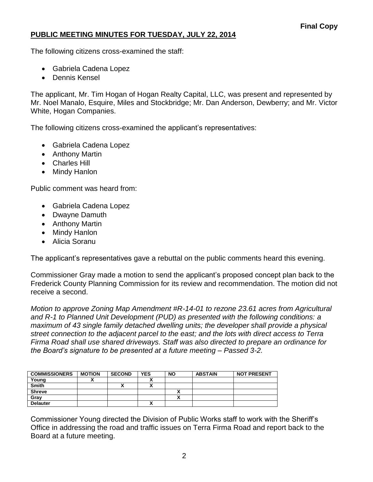## **PUBLIC MEETING MINUTES FOR TUESDAY, JULY 22, 2014**

The following citizens cross-examined the staff:

- Gabriela Cadena Lopez
- Dennis Kensel

The applicant, Mr. Tim Hogan of Hogan Realty Capital, LLC, was present and represented by Mr. Noel Manalo, Esquire, Miles and Stockbridge; Mr. Dan Anderson, Dewberry; and Mr. Victor White, Hogan Companies.

The following citizens cross-examined the applicant's representatives:

- Gabriela Cadena Lopez
- Anthony Martin
- Charles Hill
- Mindy Hanlon

Public comment was heard from:

- Gabriela Cadena Lopez
- Dwayne Damuth
- Anthony Martin
- Mindy Hanlon
- Alicia Soranu

The applicant's representatives gave a rebuttal on the public comments heard this evening.

Commissioner Gray made a motion to send the applicant's proposed concept plan back to the Frederick County Planning Commission for its review and recommendation. The motion did not receive a second.

*Motion to approve Zoning Map Amendment #R-14-01 to rezone 23.61 acres from Agricultural and R-1 to Planned Unit Development (PUD) as presented with the following conditions: a maximum of 43 single family detached dwelling units; the developer shall provide a physical street connection to the adjacent parcel to the east; and the lots with direct access to Terra Firma Road shall use shared driveways. Staff was also directed to prepare an ordinance for the Board's signature to be presented at a future meeting – Passed 3-2.*

| <b>COMMISSIONERS</b> | <b>MOTION</b> | <b>SECOND</b> | <b>YES</b> | <b>NO</b> | <b>ABSTAIN</b> | <b>NOT PRESENT</b> |
|----------------------|---------------|---------------|------------|-----------|----------------|--------------------|
| Young                |               |               |            |           |                |                    |
| <b>Smith</b>         |               | ́             |            |           |                |                    |
| <b>Shreve</b>        |               |               |            |           |                |                    |
| Gray                 |               |               |            |           |                |                    |
| <b>Delauter</b>      |               |               |            |           |                |                    |

Commissioner Young directed the Division of Public Works staff to work with the Sheriff's Office in addressing the road and traffic issues on Terra Firma Road and report back to the Board at a future meeting.